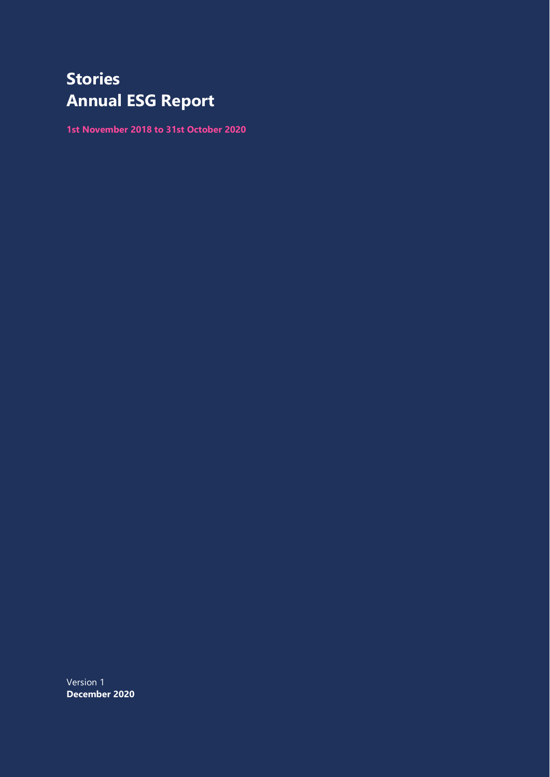# **Stories Annual ESG Report**

**1st November 2018 to 31st October 2020**

Version 1 **December 2020**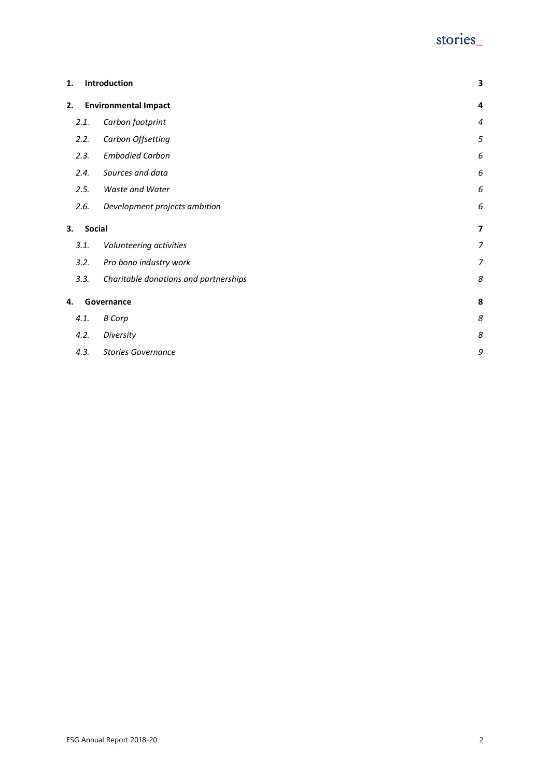## stories\_

| 1. |        | Introduction                          | 3              |
|----|--------|---------------------------------------|----------------|
| 2. |        | <b>Environmental Impact</b>           | $\overline{a}$ |
|    | 2.1.   | Carbon footprint                      | $\overline{4}$ |
|    | 2.2.   | Carbon Offsetting                     | 5              |
|    | 2.3.   | <b>Embodied Carbon</b>                | 6              |
|    | 2.4.   | Sources and data                      | 6              |
|    | 2.5.   | <b>Waste and Water</b>                | 6              |
|    | 2.6.   | Development projects ambition         | 6              |
| 3. | Social |                                       | $\overline{7}$ |
|    | 3.1.   | Volunteering activities               | $\overline{7}$ |
|    | 3.2.   | Pro bono industry work                | $\overline{7}$ |
|    | 3.3.   | Charitable donations and partnerships | 8              |
| 4. |        | Governance                            | 8              |
|    | 4.1.   | <b>B</b> Corp                         | 8              |
|    | 4.2.   | Diversity                             | 8              |
|    | 4.3.   | <b>Stories Governance</b>             | 9              |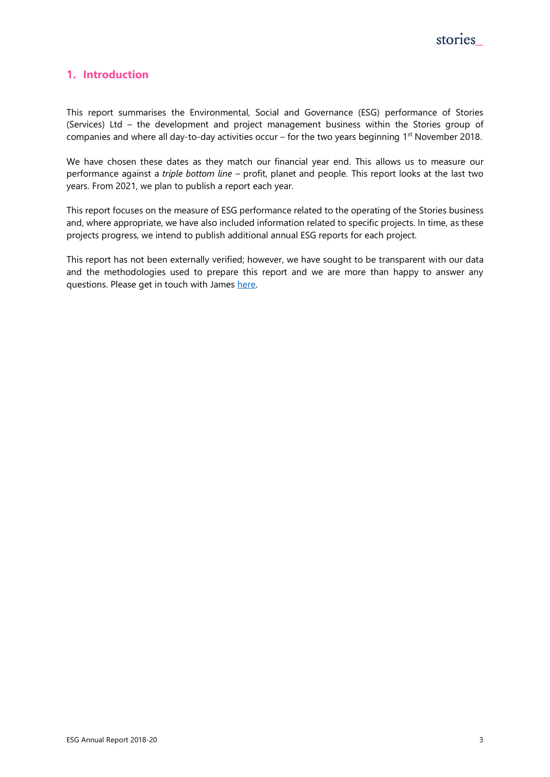

## <span id="page-2-0"></span>**1. Introduction**

This report summarises the Environmental, Social and Governance (ESG) performance of Stories (Services) Ltd – the development and project management business within the Stories group of companies and where all day-to-day activities occur  $-$  for the two years beginning 1<sup>st</sup> November 2018.

We have chosen these dates as they match our financial year end. This allows us to measure our performance against a *triple bottom line* – profit, planet and people. This report looks at the last two years. From 2021, we plan to publish a report each year.

This report focuses on the measure of ESG performance related to the operating of the Stories business and, where appropriate, we have also included information related to specific projects. In time, as these projects progress, we intend to publish additional annual ESG reports for each project.

This report has not been externally verified; however, we have sought to be transparent with our data and the methodologies used to prepare this report and we are more than happy to answer any questions. Please get in touch with James [here.](tell-us-your@stories.partners)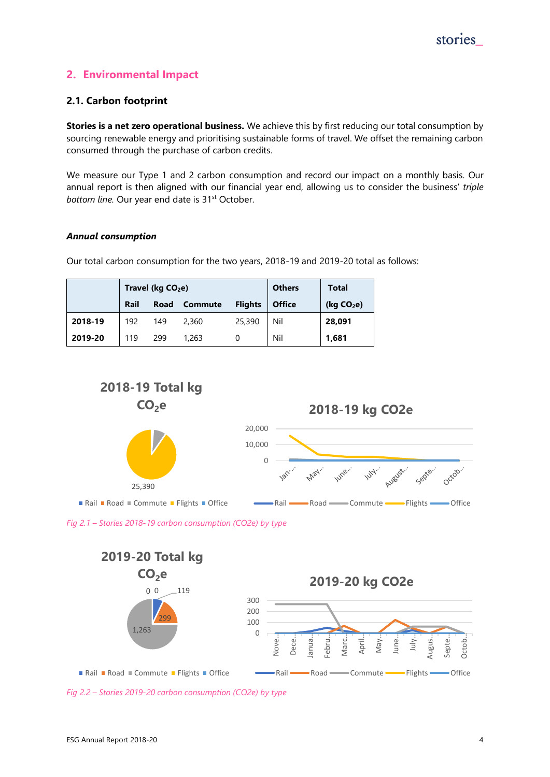## <span id="page-3-0"></span>**2. Environmental Impact**

## <span id="page-3-1"></span>**2.1. Carbon footprint**

**Stories is a net zero operational business.** We achieve this by first reducing our total consumption by sourcing renewable energy and prioritising sustainable forms of travel. We offset the remaining carbon consumed through the purchase of carbon credits.

We measure our Type 1 and 2 carbon consumption and record our impact on a monthly basis. Our annual report is then aligned with our financial year end, allowing us to consider the business' *triple*  bottom line. Our year end date is 31<sup>st</sup> October.

#### *Annual consumption*

Our total carbon consumption for the two years, 2018-19 and 2019-20 total as follows:

|         | Travel ( $kg CO2e$ ) |      |                | <b>Others</b>  | Total         |                        |
|---------|----------------------|------|----------------|----------------|---------------|------------------------|
|         | Rail                 | Road | <b>Commute</b> | <b>Flights</b> | <b>Office</b> | (kg CO <sub>2</sub> e) |
| 2018-19 | 192                  | 149  | 2,360          | 25,390         | Nil           | 28,091                 |
| 2019-20 | 119                  | 299  | 1,263          |                | Nil           | 1,681                  |



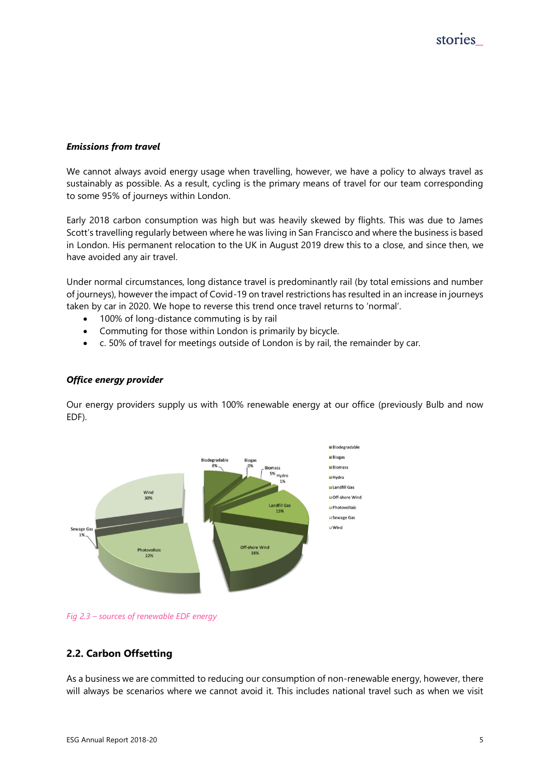#### *Emissions from travel*

We cannot always avoid energy usage when travelling, however, we have a policy to always travel as sustainably as possible. As a result, cycling is the primary means of travel for our team corresponding to some 95% of journeys within London.

Early 2018 carbon consumption was high but was heavily skewed by flights. This was due to James Scott's travelling regularly between where he was living in San Francisco and where the business is based in London. His permanent relocation to the UK in August 2019 drew this to a close, and since then, we have avoided any air travel.

Under normal circumstances, long distance travel is predominantly rail (by total emissions and number of journeys), however the impact of Covid-19 on travel restrictions has resulted in an increase in journeys taken by car in 2020. We hope to reverse this trend once travel returns to 'normal'.

- 100% of long-distance commuting is by rail
- Commuting for those within London is primarily by bicycle.
- c. 50% of travel for meetings outside of London is by rail, the remainder by car.

#### *Office energy provider*

Our energy providers supply us with 100% renewable energy at our office (previously Bulb and now EDF).



*Fig 2.3 – sources of renewable EDF energy*

## <span id="page-4-0"></span>**2.2. Carbon Offsetting**

As a business we are committed to reducing our consumption of non-renewable energy, however, there will always be scenarios where we cannot avoid it. This includes national travel such as when we visit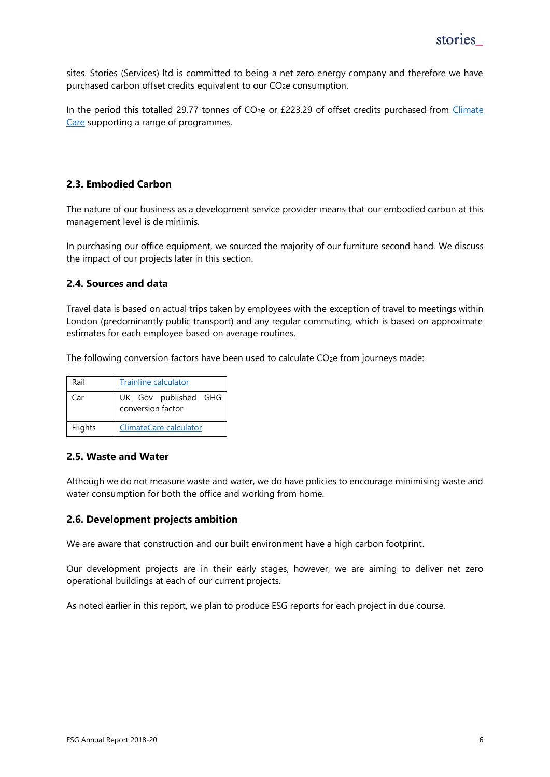sites. Stories (Services) ltd is committed to being a net zero energy company and therefore we have purchased carbon offset credits equivalent to our CO2e consumption.

In the period this totalled 29.77 tonnes of CO<sub>2</sub>e or £223.29 of offset credits purchased from Climate [Care](https://climatecare.org/carbon-offsetting/) supporting a range of programmes.

## <span id="page-5-0"></span>**2.3. Embodied Carbon**

The nature of our business as a development service provider means that our embodied carbon at this management level is de minimis.

In purchasing our office equipment, we sourced the majority of our furniture second hand. We discuss the impact of our projects later in this section.

## <span id="page-5-1"></span>**2.4. Sources and data**

Travel data is based on actual trips taken by employees with the exception of travel to meetings within London (predominantly public transport) and any regular commuting, which is based on approximate estimates for each employee based on average routines.

The following conversion factors have been used to calculate CO<sub>2</sub>e from journeys made:

| Rail    | <b>Trainline calculator</b>               |  |  |  |  |
|---------|-------------------------------------------|--|--|--|--|
| Car     | UK Gov published GHG<br>conversion factor |  |  |  |  |
| Flights | ClimateCare calculator                    |  |  |  |  |

## <span id="page-5-2"></span>**2.5. Waste and Water**

Although we do not measure waste and water, we do have policies to encourage minimising waste and water consumption for both the office and working from home.

#### <span id="page-5-3"></span>**2.6. Development projects ambition**

We are aware that construction and our built environment have a high carbon footprint.

Our development projects are in their early stages, however, we are aiming to deliver net zero operational buildings at each of our current projects.

As noted earlier in this report, we plan to produce ESG reports for each project in due course.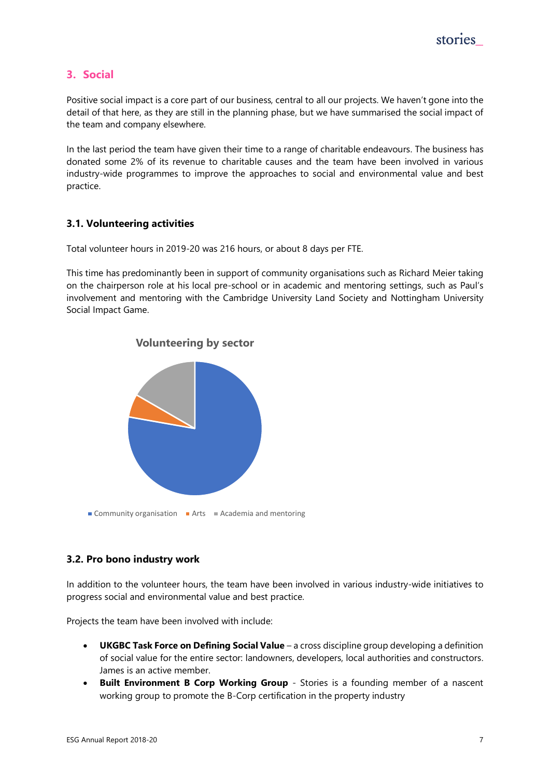## <span id="page-6-0"></span>**3. Social**

Positive social impact is a core part of our business, central to all our projects. We haven't gone into the detail of that here, as they are still in the planning phase, but we have summarised the social impact of the team and company elsewhere.

In the last period the team have given their time to a range of charitable endeavours. The business has donated some 2% of its revenue to charitable causes and the team have been involved in various industry-wide programmes to improve the approaches to social and environmental value and best practice.

## <span id="page-6-1"></span>**3.1. Volunteering activities**

Total volunteer hours in 2019-20 was 216 hours, or about 8 days per FTE.

This time has predominantly been in support of community organisations such as Richard Meier taking on the chairperson role at his local pre-school or in academic and mentoring settings, such as Paul's involvement and mentoring with the Cambridge University Land Society and Nottingham University Social Impact Game.



## **Volunteering by sector**

## <span id="page-6-2"></span>**3.2. Pro bono industry work**

In addition to the volunteer hours, the team have been involved in various industry-wide initiatives to progress social and environmental value and best practice.

Projects the team have been involved with include:

- **UKGBC Task Force on Defining Social Value** a cross discipline group developing a definition of social value for the entire sector: landowners, developers, local authorities and constructors. James is an active member.
- **Built Environment B Corp Working Group** Stories is a founding member of a nascent working group to promote the B-Corp certification in the property industry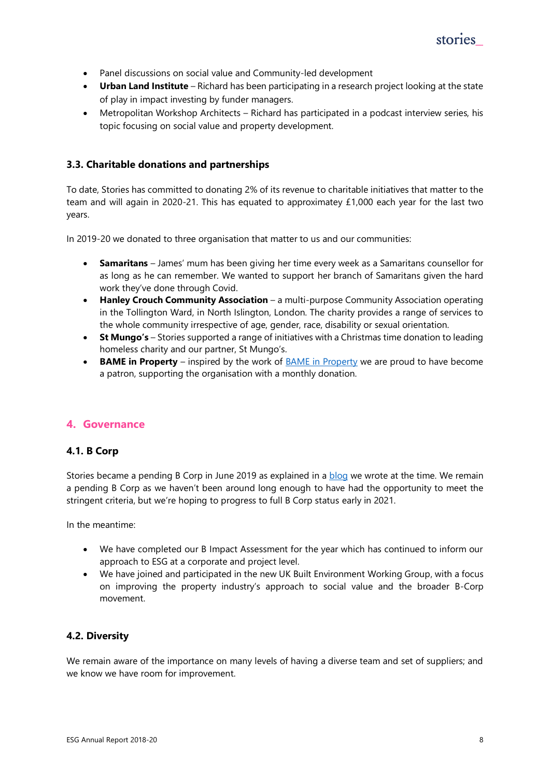

- Panel discussions on social value and Community-led development
- **Urban Land Institute** Richard has been participating in a research project looking at the state of play in impact investing by funder managers.
- Metropolitan Workshop Architects Richard has participated in a podcast interview series, his topic focusing on social value and property development.

## <span id="page-7-0"></span>**3.3. Charitable donations and partnerships**

To date, Stories has committed to donating 2% of its revenue to charitable initiatives that matter to the team and will again in 2020-21. This has equated to approximatey £1,000 each year for the last two years.

In 2019-20 we donated to three organisation that matter to us and our communities:

- **Samaritans** James' mum has been giving her time every week as a Samaritans counsellor for as long as he can remember. We wanted to support her branch of Samaritans given the hard work they've done through Covid.
- **Hanley Crouch Community Association** a multi-purpose Community Association operating in the Tollington Ward, in North Islington, London. The charity provides a range of services to the whole community irrespective of age, gender, race, disability or sexual orientation.
- **St Mungo's** Stories supported a range of initiatives with a Christmas time donation to leading homeless charity and our partner, St Mungo's.
- **BAME in Property** inspired by the work of **BAME** in Property we are proud to have become a patron, supporting the organisation with a monthly donation.

## <span id="page-7-1"></span>**4. Governance**

## <span id="page-7-2"></span>**4.1. B Corp**

Stories became a pending B Corp in June 2019 as explained in a [blog](https://www.stories.partners/post/b-corp-what-and-why) we wrote at the time. We remain a pending B Corp as we haven't been around long enough to have had the opportunity to meet the stringent criteria, but we're hoping to progress to full B Corp status early in 2021.

In the meantime:

- We have completed our B Impact Assessment for the year which has continued to inform our approach to ESG at a corporate and project level.
- We have joined and participated in the new UK Built Environment Working Group, with a focus on improving the property industry's approach to social value and the broader B-Corp movement.

## <span id="page-7-3"></span>**4.2. Diversity**

We remain aware of the importance on many levels of having a diverse team and set of suppliers; and we know we have room for improvement.